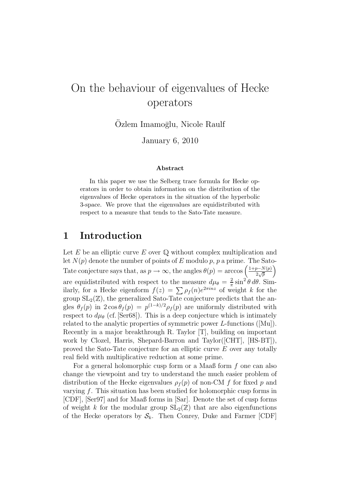# On the behaviour of eigenvalues of Hecke operators

Ozlem Imamoglu, Nicole Raulf

January 6, 2010

#### Abstract

In this paper we use the Selberg trace formula for Hecke operators in order to obtain information on the distribution of the eigenvalues of Hecke operators in the situation of the hyperbolic 3-space. We prove that the eigenvalues are equidistributed with respect to a measure that tends to the Sato-Tate measure.

#### 1 Introduction

Let  $E$  be an elliptic curve  $E$  over  $\mathbb Q$  without complex multiplication and let  $N(p)$  denote the number of points of E modulo p, p a prime. The Sato-Tate conjecture says that, as  $p \to \infty$ , the angles  $\theta(p) = \arccos\left(\frac{1+p-N(p)}{2\sqrt{p}}\right)$ are equidistributed with respect to the measure  $d\mu_{\theta} = \frac{2}{\pi} \sin^2 \theta \, d\theta$ . Similarly, for a Hecke eigenform  $f(z) = \sum \rho_f(n)e^{2\pi i nz}$  of weight k for the group  $SL_2(\mathbb{Z})$ , the generalized Sato-Tate conjecture predicts that the angles  $\theta_f(p)$  in  $2 \cos \theta_f(p) = p^{(1-k)/2} \rho_f(p)$  are uniformly distributed with respect to  $d\mu_{\theta}$  (cf. [Ser68]). This is a deep conjecture which is intimately related to the analytic properties of symmetric power L-functions ([Mu]). Recently in a major breakthrough R. Taylor [T], building on important work by Clozel, Harris, Shepard-Barron and Taylor([CHT], [HS-BT]), proved the Sato-Tate conjecture for an elliptic curve E over any totally real field with multiplicative reduction at some prime.

For a general holomorphic cusp form or a Maaß form f one can also change the viewpoint and try to understand the much easier problem of distribution of the Hecke eigenvalues  $\rho_f(p)$  of non-CM f for fixed p and varying f. This situation has been studied for holomorphic cusp forms in [CDF], [Ser97] and for Maaß forms in [Sar]. Denote the set of cusp forms of weight k for the modular group  $SL_2(\mathbb{Z})$  that are also eigenfunctions of the Hecke operators by  $S_k$ . Then Conrey, Duke and Farmer [CDF]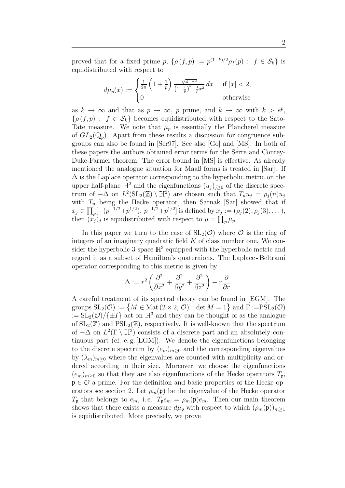proved that for a fixed prime p,  $\{\rho(f,p) := p^{(1-k)/2} \rho_f(p) : f \in \mathcal{S}_k\}$  is equidistributed with respect to

$$
d\mu_p(x) := \begin{cases} \frac{1}{2\pi} \left( 1 + \frac{1}{p} \right) \frac{\sqrt{4 - x^2}}{\left( 1 + \frac{1}{p} \right)^2 - \frac{1}{p} x^2} dx & \text{if } |x| < 2, \\ 0 & \text{otherwise} \end{cases}
$$

as  $k \to \infty$  and that as  $p \to \infty$ , p prime, and  $k \to \infty$  with  $k > e^p$ ,  $\{\rho(f,p): f \in \mathcal{S}_k\}$  becomes equidistributed with respect to the Sato-Tate measure. We note that  $\mu_p$  is essentially the Plancherel measure of  $GL_2(\mathbb Q_p)$ . Apart from these results a discussion for congruence subgroups can also be found in [Ser97]. See also [Go] and [MS]. In both of these papers the authors obtained error terms for the Serre and Conrey-Duke-Farmer theorem. The error bound in [MS] is effective. As already mentioned the analogue situation for Maaß forms is treated in [Sar]. If  $\Delta$  is the Laplace operator corresponding to the hyperbolic metric on the upper half-plane  $\mathbb{H}^2$  and the eigenfunctions  $(u_j)_{j\geq 0}$  of the discrete spectrum of  $-\Delta$  on  $L^2(\mathrm{SL}_2(\mathbb{Z})\setminus\mathbb{H}^2)$  are chosen such that  $T_nu_j = \rho_j(n)u_j$ with  $T_n$  being the Hecke operator, then Sarnak [Sar] showed that if  $x_j \in \prod_p [-(p^{-1/2}+p^{1/2}), p^{-1/2}+p^{1/2}]$  is defined by  $x_j := (\rho_j(2), \rho_j(3), \dots),$ then  $(x_j)_j$  is equidistributed with respect to  $\mu = \prod_p \mu_p$ .

In this paper we turn to the case of  $SL_2(\mathcal{O})$  where  $\mathcal O$  is the ring of integers of an imaginary quadratic field  $K$  of class number one. We consider the hyperbolic 3-space  $\mathbb{H}^3$  equipped with the hyperbolic metric and regard it as a subset of Hamilton's quaternions. The Laplace - Beltrami operator corresponding to this metric is given by

$$
\Delta := r^2 \left( \frac{\partial^2}{\partial x^2} + \frac{\partial^2}{\partial y^2} + \frac{\partial^2}{\partial z^2} \right) - r \frac{\partial}{\partial r}.
$$

A careful treatment of its spectral theory can be found in [EGM]. The groups  $SL_2(\mathcal{O}) := \{ M \in \text{Mat} (2 \times 2, \mathcal{O}) : \det M = 1 \}$  and  $\Gamma := PSL_2(\mathcal{O})$ :=  $SL_2(\mathcal{O})/\{\pm I\}$  act on  $\mathbb{H}^3$  and they can be thought of as the analogue of  $SL_2(\mathbb{Z})$  and  $PSL_2(\mathbb{Z})$ , respectively. It is well-known that the spectrum of  $-\Delta$  on  $L^2(\Gamma \setminus \mathbb{H}^3)$  consists of a discrete part and an absolutely continuous part (cf. e. g. [EGM]). We denote the eigenfunctions belonging to the discrete spectrum by  $(e_m)_{m>0}$  and the corresponding eigenvalues by  $(\lambda_m)_{m\geq 0}$  where the eigenvalues are counted with multiplicity and ordered according to their size. Moreover, we choose the eigenfunctions  $(e_m)_{m>0}$  so that they are also eigenfunctions of the Hecke operators  $T_p$ ,  $\mathfrak{p} \in \mathcal{O}$  a prime. For the definition and basic properties of the Hecke operators see section 2. Let  $\rho_m(\mathfrak{p})$  be the eigenvalue of the Hecke operator  $T_{\mathfrak{p}}$  that belongs to  $e_m$ , i.e.  $T_{\mathfrak{p}}e_m = \rho_m(\mathfrak{p})e_m$ . Then our main theorem shows that there exists a measure  $d\mu_{\mathfrak{p}}$  with respect to which  $(\rho_m(\mathfrak{p}))_{m\geq 1}$ is equidistributed. More precisely, we prove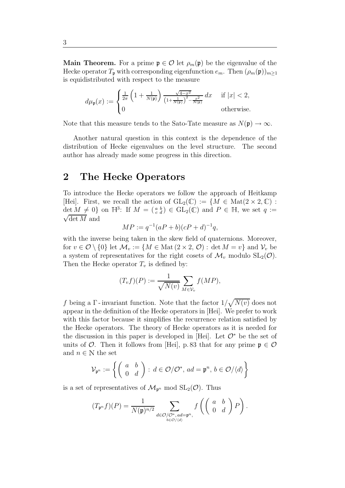**Main Theorem.** For a prime  $\mathfrak{p} \in \mathcal{O}$  let  $\rho_m(\mathfrak{p})$  be the eigenvalue of the Hecke operator  $T_{\mathfrak{p}}$  with corresponding eigenfunction  $e_m$ . Then  $(\rho_m(\mathfrak{p}))_{m\geq 1}$ is equidistributed with respect to the measure

$$
d\mu_{\mathfrak{p}}(x) := \begin{cases} \frac{1}{2\pi} \left( 1 + \frac{1}{N(\mathfrak{p})} \right) \frac{\sqrt{4 - x^2}}{\left( 1 + \frac{1}{N(\mathfrak{p})} \right)^2 - \frac{x^2}{N(\mathfrak{p})}} dx & \text{if } |x| < 2, \\ 0 & \text{otherwise.} \end{cases}
$$

Note that this measure tends to the Sato-Tate measure as  $N(\mathfrak{p}) \to \infty$ .

Another natural question in this context is the dependence of the distribution of Hecke eigenvalues on the level structure. The second author has already made some progress in this direction.

#### 2 The Hecke Operators

To introduce the Hecke operators we follow the approach of Heitkamp [Hei]. First, we recall the action of  $GL_2(\mathbb{C}) := \{M \in Mat(2 \times 2, \mathbb{C}) :$  $\det M \neq 0$  on  $\mathbb{H}^3$ : If  $M = \begin{pmatrix} a & b \\ c & d \end{pmatrix} \in GL_2(\mathbb{C})$  and  $P \in \mathbb{H}$ , we set  $q :=$  $\sqrt{\det M}$  and

$$
MP := q^{-1}(aP + b)(cP + d)^{-1}q,
$$

with the inverse being taken in the skew field of quaternions. Moreover, for  $v \in \mathcal{O} \setminus \{0\}$  let  $\mathcal{M}_v := \{M \in \text{Mat } (2 \times 2, \mathcal{O}) : \det M = v\}$  and  $\mathcal{V}_v$  be a system of representatives for the right cosets of  $\mathcal{M}_v$  modulo  $SL_2(\mathcal{O})$ . Then the Hecke operator  $T_v$  is defined by:

$$
(T_v f)(P) := \frac{1}{\sqrt{N(v)}} \sum_{M \in \mathcal{V}_v} f(MP),
$$

f being a  $\Gamma$ -invariant function. Note that the factor  $1/\sqrt{N(v)}$  does not appear in the definition of the Hecke operators in [Hei]. We prefer to work with this factor because it simplifies the recurrence relation satisfied by the Hecke operators. The theory of Hecke operators as it is needed for the discussion in this paper is developed in [Hei]. Let  $\mathcal{O}^*$  be the set of units of  $\mathcal{O}$ . Then it follows from [Hei], p. 83 that for any prime  $\mathfrak{p} \in \mathcal{O}$ and  $n \in \mathbb{N}$  the set

$$
\mathcal{V}_{\mathfrak{p}^n} := \left\{ \left( \begin{array}{cc} a & b \\ 0 & d \end{array} \right) : \, d \in \mathcal{O}/\mathcal{O}^*, \, ad = \mathfrak{p}^n, \, b \in \mathcal{O}/\langle d \rangle \right\}
$$

is a set of representatives of  $\mathcal{M}_{p^n}$  mod  $SL_2(\mathcal{O})$ . Thus

$$
(T_{\mathfrak{p}^n} f)(P) = \frac{1}{N(\mathfrak{p})^{n/2}} \sum_{\substack{d \in \mathcal{O}/\mathcal{O}^*, \, ad = \mathfrak{p}^n, \\ b \in \mathcal{O}/\langle d \rangle}} f\left(\begin{pmatrix} a & b \\ 0 & d \end{pmatrix} P\right).
$$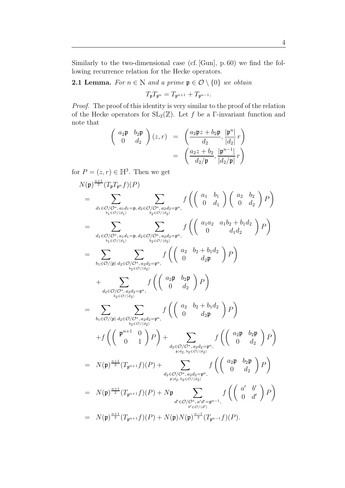Similarly to the two-dimensional case (cf. [Gun], p. 60) we find the following recurrence relation for the Hecke operators.

**2.1 Lemma.** For  $n \in \mathbb{N}$  and a prime  $\mathfrak{p} \in \mathcal{O} \setminus \{0\}$  we obtain

$$
T_{\mathfrak{p}}T_{\mathfrak{p}^n} = T_{\mathfrak{p}^{n+1}} + T_{\mathfrak{p}^{n-1}}.
$$

Proof. The proof of this identity is very similar to the proof of the relation of the Hecke operators for  $SL_2(\mathbb{Z})$ . Let f be a Γ-invariant function and note that

$$
\begin{pmatrix}\na_2 \mathfrak{p} & b_2 \mathfrak{p} \\
0 & d_2\n\end{pmatrix} (z, r) = \begin{pmatrix}\na_2 \mathfrak{p} z + b_2 \mathfrak{p} \\
\frac{d_2}{z} \cdot \frac{|\mathfrak{p}^n|}{|d_2|} r\n\end{pmatrix}
$$
\n
$$
= \begin{pmatrix}\na_2 z + b_2 & \frac{|\mathfrak{p}^{n-1}|}{|d_2|} r \\
\frac{d_2}{p} & \frac{|\mathfrak{p}^{n-1}|}{|d_2|} r\n\end{pmatrix}
$$

for  $P = (z, r) \in \mathbb{H}^3$ . Then we get

$$
N(\mathfrak{p})^{\frac{n+1}{2}}(T_{\mathfrak{p}}T_{\mathfrak{p}^n}f)(P)
$$
\n
$$
= \sum_{d_1 \in \mathcal{O}/\mathcal{O}^*, a_1 d_1 = \mathfrak{p}, d_2 \in \mathcal{O}/\mathcal{O}^*, a_2 d_2 = \mathfrak{p}^n, \atop b_1 \in \mathcal{O}/d_1} f\left(\begin{pmatrix} a_1 & b_1 \\ 0 & d_1 \end{pmatrix} \begin{pmatrix} a_2 & b_2 \\ 0 & d_2 \end{pmatrix} P \right)
$$
\n
$$
= \sum_{d_1 \in \mathcal{O}/\mathcal{O}^*, a_1 d_1 = \mathfrak{p}, d_2 \in \mathcal{O}/\mathcal{O}^*, a_2 d_2 = \mathfrak{p}^n, \atop b_2 \in \mathcal{O}/d_2} f\left(\begin{pmatrix} a_1 a_2 & a_1 b_2 + b_1 d_2 \\ 0 & d_1 d_2 \end{pmatrix} P \right)
$$
\n
$$
= \sum_{b_1 \in \mathcal{O}/\mathfrak{p}^*, a_1 d_1 = \mathfrak{p}, d_2 \in \mathcal{O}/\mathcal{O}^*, a_2 d_2 = \mathfrak{p}^n, \atop b_2 \in \mathcal{O}/d_2} f\left(\begin{pmatrix} a_2 & b_2 + b_1 d_2 \\ 0 & d_2 \mathfrak{p} \end{pmatrix} P \right)
$$
\n
$$
+ \sum_{d_2 \in \mathcal{O}/\mathcal{O}^*, a_2 d_2 = \mathfrak{p}^n, \atop b_2 \in \mathcal{O}/d_2} f\left(\begin{pmatrix} a_2 & b_2 + b_1 d_2 \\ 0 & d_2 \end{pmatrix} P \right)
$$
\n
$$
+ f\left(\begin{pmatrix} \mathfrak{p}^{n+1} & 0 \\ b_2 \in \mathcal{O}/\mathcal{O}^*, a_2 d_2 = \mathfrak{p}^n, \atop b_2 \in \mathcal{O}/d_2} f\left(\begin{pmatrix} a_2 & b_2 + b_1 d_2 \\ 0 & d_2 \end{pmatrix} P \right) \right)
$$
\n
$$
+ f\left(\begin{pmatrix} \math
$$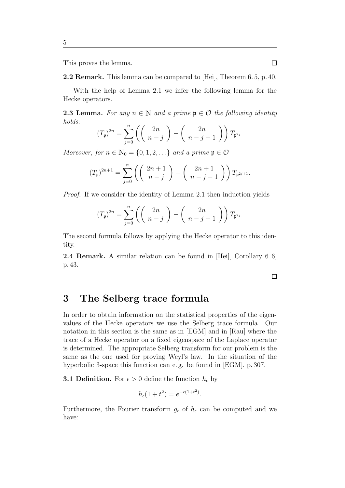This proves the lemma.

2.2 Remark. This lemma can be compared to [Hei], Theorem 6. 5, p. 40.

With the help of Lemma 2.1 we infer the following lemma for the Hecke operators.

**2.3 Lemma.** For any  $n \in \mathbb{N}$  and a prime  $\mathfrak{p} \in \mathcal{O}$  the following identity holds:

$$
(T_{\mathfrak{p}})^{2n} = \sum_{j=0}^{n} \left( \begin{pmatrix} 2n \\ n-j \end{pmatrix} - \begin{pmatrix} 2n \\ n-j-1 \end{pmatrix} \right) T_{\mathfrak{p}^{2j}}.
$$

Moreover, for  $n \in \mathbb{N}_0 = \{0, 1, 2, \ldots\}$  and a prime  $\mathfrak{p} \in \mathcal{O}$ 

$$
(T_{\mathfrak{p}})^{2n+1} = \sum_{j=0}^{n} \left( \left( \begin{array}{c} 2n+1 \\ n-j \end{array} \right) - \left( \begin{array}{c} 2n+1 \\ n-j-1 \end{array} \right) \right) T_{\mathfrak{p}^{2j+1}}.
$$

Proof. If we consider the identity of Lemma 2.1 then induction yields

$$
(T_{\mathfrak{p}})^{2n} = \sum_{j=0}^{n} \left( \begin{pmatrix} 2n \\ n-j \end{pmatrix} - \begin{pmatrix} 2n \\ n-j-1 \end{pmatrix} \right) T_{\mathfrak{p}^{2j}}.
$$

The second formula follows by applying the Hecke operator to this identity.

2.4 Remark. A similar relation can be found in [Hei], Corollary 6. 6, p. 43.

 $\Box$ 

#### 3 The Selberg trace formula

In order to obtain information on the statistical properties of the eigenvalues of the Hecke operators we use the Selberg trace formula. Our notation in this section is the same as in [EGM] and in [Rau] where the trace of a Hecke operator on a fixed eigenspace of the Laplace operator is determined. The appropriate Selberg transform for our problem is the same as the one used for proving Weyl's law. In the situation of the hyperbolic 3-space this function can e. g. be found in [EGM], p. 307.

**3.1 Definition.** For  $\epsilon > 0$  define the function  $h_{\epsilon}$  by

$$
h_{\epsilon}(1+t^2) = e^{-\epsilon(1+t^2)}.
$$

Furthermore, the Fourier transform  $g_{\epsilon}$  of  $h_{\epsilon}$  can be computed and we have: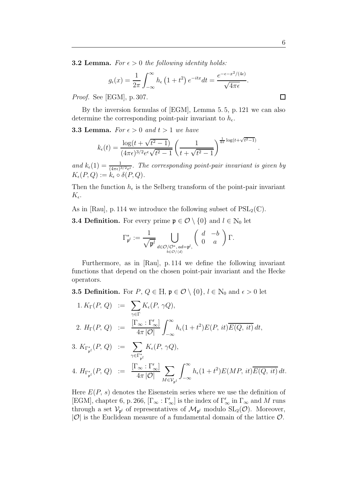**3.2 Lemma.** For  $\epsilon > 0$  the following identity holds:

$$
g_{\epsilon}(x) = \frac{1}{2\pi} \int_{-\infty}^{\infty} h_{\epsilon} \left(1 + t^2\right) e^{-itx} dt = \frac{e^{-\epsilon - x^2/(4\epsilon)}}{\sqrt{4\pi\epsilon}}.
$$

Proof. See [EGM], p. 307.

By the inversion formulas of [EGM], Lemma 5. 5, p. 121 we can also determine the corresponding point-pair invariant to  $h_{\epsilon}$ .

**3.3 Lemma.** For  $\epsilon > 0$  and  $t > 1$  we have

$$
k_{\epsilon}(t) = \frac{\log(t + \sqrt{t^2 - 1})}{(4\pi\epsilon)^{3/2}e^{\epsilon}\sqrt{t^2 - 1}} \left(\frac{1}{t + \sqrt{t^2 - 1}}\right)^{\frac{1}{4\pi}\log(t + \sqrt{t^2 - 1})}
$$

and  $k_{\epsilon}(1) = \frac{1}{(4\pi\epsilon)^{3/2}e^{\epsilon}}$ . The corresponding point-pair invariant is given by  $K_{\epsilon}(P,Q) := k_{\epsilon} \circ \delta(P,Q).$ 

Then the function  $h_{\epsilon}$  is the Selberg transform of the point-pair invariant  $K_{\epsilon}$ .

As in [Rau], p. 114 we introduce the following subset of  $PSL_2(\mathbb{C})$ .

**3.4 Definition.** For every prime  $\mathfrak{p} \in \mathcal{O} \setminus \{0\}$  and  $l \in \mathbb{N}_0$  let

$$
\Gamma_{\mathfrak{p}^l}^* := \frac{1}{\sqrt{\mathfrak{p}^l}} \bigcup_{\substack{d \in \mathcal{O}/\mathcal{O}^*, \, ad = \mathfrak{p}^l, \\ b \in \mathcal{O}/\langle d \rangle}} \left( \begin{array}{cc} d & -b \\ 0 & a \end{array} \right) \Gamma.
$$

Furthermore, as in [Rau], p. 114 we define the following invariant functions that depend on the chosen point-pair invariant and the Hecke operators.

**3.5 Definition.** For  $P, Q \in \mathbb{H}$ ,  $\mathfrak{p} \in \mathcal{O} \setminus \{0\}$ ,  $l \in \mathbb{N}_0$  and  $\epsilon > 0$  let

1. 
$$
K_{\Gamma}(P, Q) := \sum_{\gamma \in \Gamma} K_{\epsilon}(P, \gamma Q),
$$
  
\n2.  $H_{\Gamma}(P, Q) := \frac{\left[\Gamma_{\infty} : \Gamma'_{\infty}\right]}{4\pi |\mathcal{O}|} \int_{-\infty}^{\infty} h_{\epsilon}(1+t^2) E(P, it) \overline{E(Q, it)} dt,$ 

3. 
$$
K_{\Gamma_{\mathfrak{p}^l}^*}(P, Q) := \sum_{\gamma \in \Gamma_{\mathfrak{p}^l}^*} K_{\epsilon}(P, \gamma Q),
$$
  
4.  $H_{\Gamma_{\mathfrak{p}^l}^*}(P, Q) := \frac{\left[\Gamma_{\infty} : \Gamma'_{\infty}\right]}{4\pi |\mathcal{O}|} \sum_{M \in \mathcal{V}_{\mathfrak{p}^l}} \int_{-\infty}^{\infty} h_{\epsilon}(1+t^2) E(MP, it) \overline{E(Q, it)} dt.$ 

Here  $E(P, s)$  denotes the Eisenstein series where we use the definition of [EGM], chapter 6, p. 266,  $[\Gamma_{\infty} : \Gamma'_{\infty}]$  is the index of  $\Gamma'_{\infty}$  in  $\Gamma_{\infty}$  and M runs through a set  $\mathcal{V}_{p^l}$  of representatives of  $\mathcal{M}_{p^l}$  modulo  $SL_2(\mathcal{O})$ . Moreover,  $|\mathcal{O}|$  is the Euclidean measure of a fundamental domain of the lattice  $\mathcal{O}$ .

 $\Box$ 

.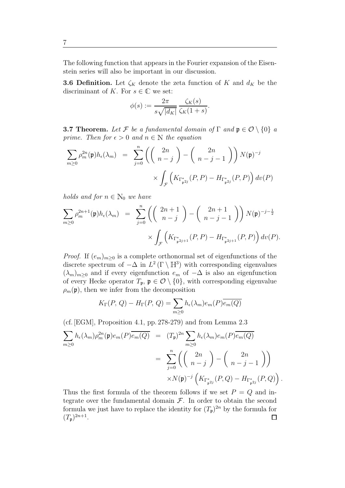The following function that appears in the Fourier expansion of the Eisenstein series will also be important in our discussion.

**3.6 Definition.** Let  $\zeta_K$  denote the zeta function of K and  $d_K$  be the discriminant of K. For  $s \in \mathbb{C}$  we set:

$$
\phi(s) := \frac{2\pi}{s\sqrt{|d_K|}} \frac{\zeta_K(s)}{\zeta_K(1+s)}.
$$

**3.7 Theorem.** Let F be a fundamental domain of  $\Gamma$  and  $\mathfrak{p} \in \mathcal{O} \setminus \{0\}$  a prime. Then for  $\epsilon > 0$  and  $n \in \mathbb{N}$  the equation

$$
\sum_{m\geq 0} \rho_m^{2n}(\mathfrak{p}) h_{\epsilon}(\lambda_m) = \sum_{j=0}^n \left( \binom{2n}{n-j} - \binom{2n}{n-j-1} \right) N(\mathfrak{p})^{-j}
$$

$$
\times \int_{\mathcal{F}} \left( K_{\Gamma_{\mathfrak{p}^{2j}}^*}(P, P) - H_{\Gamma_{\mathfrak{p}^{2j}}^*}(P, P) \right) dv(P)
$$

holds and for  $n \in \mathbb{N}_0$  we have

$$
\sum_{m\geq 0} \rho_m^{2n+1}(\mathfrak{p}) h_{\epsilon}(\lambda_m) = \sum_{j=0}^n \left( \binom{2n+1}{n-j} - \binom{2n+1}{n-j-1} \right) N(\mathfrak{p})^{-j-\frac{1}{2}} \times \int_{\mathcal{F}} \left( K_{\Gamma_{\mathfrak{p}^{2j+1}}^*(P,P)} - H_{\Gamma_{\mathfrak{p}^{2j+1}}^*(P,P)} \right) dv(P).
$$

*Proof.* If  $(e_m)_{m\geq 0}$  is a complete orthonormal set of eigenfunctions of the discrete spectrum of  $-\Delta$  in  $L^2(\Gamma \setminus \mathbb{H}^3)$  with corresponding eigenvalues  $(\lambda_m)_{m\geq 0}$  and if every eigenfunction  $e_m$  of  $-\Delta$  is also an eigenfunction of every Hecke operator  $T_{\mathfrak{p}}$ ,  $\mathfrak{p} \in \mathcal{O} \setminus \{0\}$ , with corresponding eigenvalue  $\rho_m(\mathfrak{p})$ , then we infer from the decomposition

$$
K_{\Gamma}(P, Q) - H_{\Gamma}(P, Q) = \sum_{m \ge 0} h_{\epsilon}(\lambda_m) e_m(P) \overline{e_m(Q)}
$$

(cf. [EGM], Proposition 4.1, pp. 278-279) and from Lemma 2.3

$$
\sum_{m\geq 0} h_{\epsilon}(\lambda_m) \rho_m^{2n}(\mathfrak{p}) e_m(P) \overline{e_m(Q)} = (T_{\mathfrak{p}})^{2n} \sum_{m\geq 0} h_{\epsilon}(\lambda_m) e_m(P) \overline{e_m(Q)}
$$

$$
= \sum_{j=0}^n \left( \binom{2n}{n-j} - \binom{2n}{n-j-1} \right)
$$

$$
\times N(\mathfrak{p})^{-j} \left( K_{\Gamma_{\mathfrak{p}^{2j}}} (P,Q) - H_{\Gamma_{\mathfrak{p}^{2j}}} (P,Q) \right)
$$

.

Thus the first formula of the theorem follows if we set  $P = Q$  and integrate over the fundamental domain  $\mathcal F$ . In order to obtain the second formula we just have to replace the identity for  $(T_p)^{2n}$  by the formula for  $(T_p)^{2n+1}$ .  $\Box$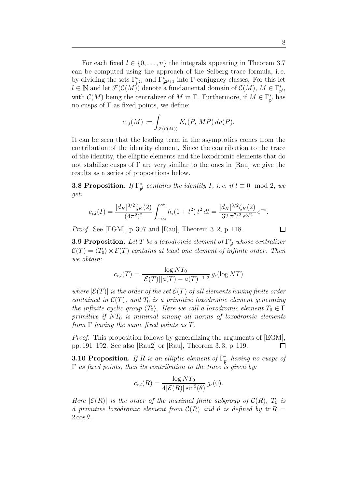For each fixed  $l \in \{0, \ldots, n\}$  the integrals appearing in Theorem 3.7 can be computed using the approach of the Selberg trace formula, i. e. by dividing the sets  $\Gamma_{\mathfrak{p}^{2j}}^*$  and  $\Gamma_{\mathfrak{p}^{2j+1}}^*$  into  $\Gamma$ -conjugacy classes. For this let  $l \in \mathbb{N}$  and let  $\mathcal{F}(\mathcal{C}(M))$  denote a fundamental domain of  $\mathcal{C}(M)$ ,  $M \in \Gamma_{\mathfrak{p}^l}^*$ , with  $\mathcal{C}(M)$  being the centralizer of M in  $\Gamma$ . Furthermore, if  $M \in \Gamma_{\mathfrak{p}^l}^*$  has no cusps of  $\Gamma$  as fixed points, we define:

$$
c_{\epsilon,l}(M) := \int_{\mathcal{F}(\mathcal{C}(M))} K_{\epsilon}(P, MP) \, dv(P).
$$

It can be seen that the leading term in the asymptotics comes from the contribution of the identity element. Since the contribution to the trace of the identity, the elliptic elements and the loxodromic elements that do not stabilize cusps of  $\Gamma$  are very similar to the ones in [Rau] we give the results as a series of propositions below.

**3.8 Proposition.** If  $\Gamma^*_{\mathfrak{p}^l}$  contains the identity I, i.e. if  $l \equiv 0 \mod 2$ , we get:

$$
c_{\epsilon,l}(I) = \frac{|d_K|^{3/2} \zeta_K(2)}{(4\pi^2)^2} \int_{-\infty}^{\infty} h_{\epsilon}(1+t^2) t^2 dt = \frac{|d_K|^{3/2} \zeta_K(2)}{32 \pi^{7/2} \epsilon^{3/2}} e^{-\epsilon}.
$$

Proof. See [EGM], p. 307 and [Rau], Theorem 3. 2, p. 118.

**3.9 Proposition.** Let T be a loxodromic element of  $\Gamma^*_{\mathfrak{p}^l}$  whose centralizer  $\mathcal{C}(T) = \langle T_0 \rangle \times \mathcal{E}(T)$  contains at least one element of infinite order. Then we obtain:

$$
c_{\epsilon,l}(T) = \frac{\log NT_0}{|\mathcal{E}(T)||a(T) - a(T)^{-1}|^2} g_{\epsilon}(\log NT)
$$

where  $|\mathcal{E}(T)|$  is the order of the set  $\mathcal{E}(T)$  of all elements having finite order contained in  $\mathcal{C}(T)$ , and  $T_0$  is a primitive loxodromic element generating the infinite cyclic group  $\langle T_0 \rangle$ . Here we call a loxodromic element  $T_0 \in \Gamma$ primitive if  $NT_0$  is minimal among all norms of loxodromic elements from  $\Gamma$  having the same fixed points as  $T$ .

Proof. This proposition follows by generalizing the arguments of [EGM], pp. 191–192. See also [Rau2] or [Rau], Theorem 3. 3, p. 119.  $\Box$ 

**3.10 Proposition.** If R is an elliptic element of  $\Gamma^*_{\mathfrak{p}^l}$  having no cusps of  $\Gamma$  as fixed points, then its contribution to the trace is given by:

$$
c_{\epsilon,l}(R) = \frac{\log NT_0}{4|\mathcal{E}(R)|\sin^2(\theta)} g_{\epsilon}(0).
$$

Here  $|\mathcal{E}(R)|$  is the order of the maximal finite subgroup of  $\mathcal{C}(R)$ ,  $T_0$  is a primitive loxodromic element from  $\mathcal{C}(R)$  and  $\theta$  is defined by  $tr R =$  $2 \cos \theta$ .

口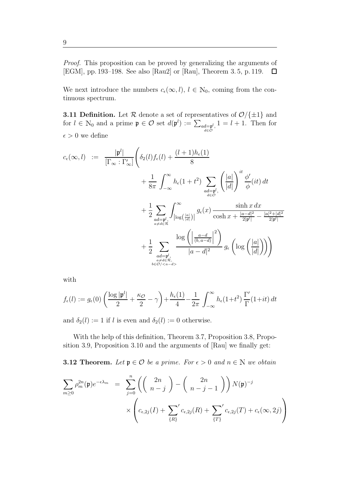Proof. This proposition can be proved by generalizing the arguments of [EGM], pp. 193–198. See also [Rau2] or [Rau], Theorem 3. 5, p. 119.  $\Box$ 

We next introduce the numbers  $c_{\epsilon}(\infty, l)$ ,  $l \in \mathbb{N}_0$ , coming from the continuous spectrum.

**3.11 Definition.** Let  $\mathcal{R}$  denote a set of representatives of  $\mathcal{O}/\{\pm 1\}$  and for  $l \in \mathbb{N}_0$  and a prime  $\mathfrak{p} \in \mathcal{O}$  set  $d(\mathfrak{p}^l) := \sum_{\substack{ad = \mathfrak{p}^l \\ d \in \mathcal{O}}}$  $1 = l + 1$ . Then for  $\epsilon > 0$  we define

$$
c_{\epsilon}(\infty, l) := \frac{|\mathfrak{p}^{l}|}{\left[\Gamma_{\infty} : \Gamma_{\infty}'\right]} \left(\delta_{2}(l) f_{\epsilon}(l) + \frac{(l+1)h_{\epsilon}(1)}{8} + \frac{1}{8\pi} \int_{-\infty}^{\infty} h_{\epsilon}(1+t^{2}) \sum_{\substack{ad=p^{l}, \\ d \in \mathcal{O}}} \left(\frac{|a|}{|d|}\right)^{it} \frac{\phi'}{\phi}(it) dt + \frac{1}{2} \sum_{\substack{ad=p^{l}, \\ a \neq d \in \mathcal{R}}} \int_{|\log\left(\frac{|a|}{|d|}\right)|}^{\infty} g_{\epsilon}(x) \frac{\sinh x \, dx}{\cosh x + \frac{|a-d|^{2}}{2|p^{l}|} - \frac{|a|^{2}+|d|^{2}}{2|p^{l}|}} + \frac{1}{2} \sum_{\substack{ad=p^{l}, \\ a \neq d \in \mathcal{R}, \\ b \in \mathcal{O}/
$$

with

$$
f_{\epsilon}(l) := g_{\epsilon}(0) \left( \frac{\log |\mathfrak{p}^l|}{2} + \frac{\kappa_{\mathcal{O}}}{2} - \gamma \right) + \frac{h_{\epsilon}(1)}{4} - \frac{1}{2\pi} \int_{-\infty}^{\infty} h_{\epsilon}(1+t^2) \frac{\Gamma'}{\Gamma}(1+it) dt
$$

and  $\delta_2(l) := 1$  if l is even and  $\delta_2(l) := 0$  otherwise.

With the help of this definition, Theorem 3.7, Proposition 3.8, Proposition 3.9, Proposition 3.10 and the arguments of [Rau] we finally get:

**3.12 Theorem.** Let  $\mathfrak{p} \in \mathcal{O}$  be a prime. For  $\epsilon > 0$  and  $n \in \mathbb{N}$  we obtain

$$
\sum_{m\geq 0} \rho_m^{2n}(\mathfrak{p}) e^{-\epsilon \lambda_m} = \sum_{j=0}^n \left( \binom{2n}{n-j} - \binom{2n}{n-j-1} \right) N(\mathfrak{p})^{-j}
$$

$$
\times \left( c_{\epsilon,2j}(I) + \sum_{\{R\}}' c_{\epsilon,2j}(R) + \sum_{\{T\}}' c_{\epsilon,2j}(T) + c_{\epsilon}(\infty,2j) \right)
$$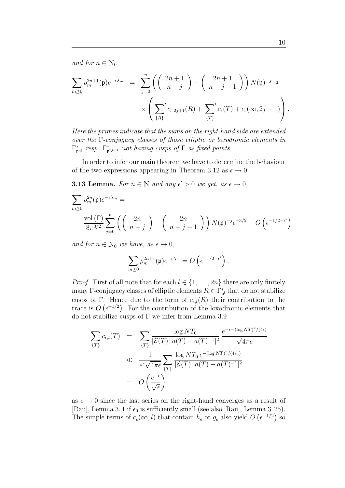and for  $n \in \mathbb{N}_0$ 

$$
\sum_{m\geq 0} \rho_m^{2n+1}(\mathfrak{p}) e^{-\epsilon \lambda_m} = \sum_{j=0}^n \left( \binom{2n+1}{n-j} - \binom{2n+1}{n-j-1} \right) N(\mathfrak{p})^{-j-\frac{1}{2}} \times \left( \sum_{\{R\}}' c_{\epsilon,2j+1}(R) + \sum_{\{T\}}' c_{\epsilon}(T) + c_{\epsilon}(\infty,2j+1) \right).
$$

Here the primes indicate that the sums on the right-hand side are extended over the Γ-conjugacy classes of those elliptic or loxodromic elements in  $\Gamma_{\mathfrak{p}^{2j}}^*$  resp.  $\Gamma_{\mathfrak{p}^{2j+1}}^*$  not having cusps of  $\Gamma$  as fixed points.

In order to infer our main theorem we have to determine the behaviour of the two expressions appearing in Theorem 3.12 as  $\epsilon \to 0$ .

**3.13 Lemma.** For  $n \in \mathbb{N}$  and any  $\epsilon' > 0$  we get, as  $\epsilon \to 0$ ,

$$
\sum_{m\geq 0} \rho_m^{2n}(\mathfrak{p}) e^{-\epsilon \lambda_m} = \frac{\text{vol}\left(\Gamma\right)}{8\pi^{3/2}} \sum_{j=0}^n \left( \binom{2n}{n-j} - \binom{2n}{n-j-1} \right) N(\mathfrak{p})^{-j} \epsilon^{-3/2} + O\left(\epsilon^{-1/2-\epsilon'}\right)
$$

and for  $n \in \mathbb{N}_0$  we have, as  $\epsilon \to 0$ ,

$$
\sum_{m\geq 0} \rho_m^{2n+1}(\mathfrak{p}) e^{-\epsilon \lambda_m} = O\left(\epsilon^{-1/2-\epsilon'}\right).
$$

*Proof.* First of all note that for each  $l \in \{1, ..., 2n\}$  there are only finitely many  $\Gamma$ -conjugacy classes of elliptic elements  $R \in \Gamma^*_{\mathfrak{p}^l}$  that do not stabilize cusps of Γ. Hence due to the form of  $c_{\epsilon,l}(R)$  their contribution to the trace is  $O(\epsilon^{-1/2})$ . For the contribution of the loxodromic elements that do not stabilize cusps of Γ we infer from Lemma 3.9

$$
\sum_{\{T\}} c_{\epsilon,l}(T) = \sum_{\{T\}} \frac{\log NT_0}{|\mathcal{E}(T)||a(T) - a(T)^{-1}|^2} \frac{e^{-\epsilon - (\log NT)^2/(4\epsilon)}}{\sqrt{4\pi\epsilon}}
$$
  

$$
\ll \frac{1}{e^{\epsilon}\sqrt{4\pi\epsilon}} \sum_{\{T\}} \frac{\log NT_0 e^{-(\log NT)^2/(4\epsilon_0)}}{|\mathcal{E}(T)||a(T) - a(T)^{-1}|^2}
$$
  

$$
= O\left(\frac{e^{-\epsilon}}{\sqrt{\epsilon}}\right)
$$

as  $\epsilon \to 0$  since the last series on the right-hand converges as a result of [Rau], Lemma 3. 1 if  $\epsilon_0$  is sufficiently small (see also [Rau], Lemma 3. 25). The simple terms of  $c_{\epsilon}(\infty, l)$  that contain  $h_{\epsilon}$  or  $g_{\epsilon}$  also yield  $O\left(\epsilon^{-1/2}\right)$  so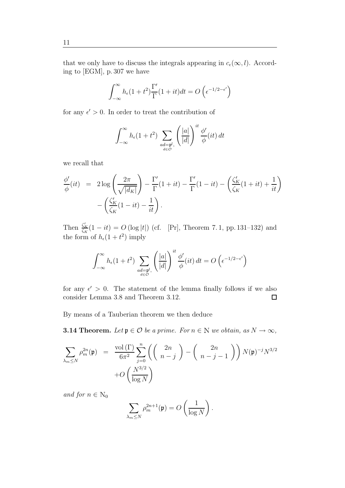that we only have to discuss the integrals appearing in  $c_{\epsilon}(\infty, l)$ . According to [EGM], p. 307 we have

$$
\int_{-\infty}^{\infty} h_{\epsilon}(1+t^2) \frac{\Gamma'}{\Gamma}(1+it) dt = O\left(\epsilon^{-1/2-\epsilon'}\right)
$$

for any  $\epsilon' > 0$ . In order to treat the contribution of

$$
\int_{-\infty}^{\infty} h_{\epsilon}(1+t^2) \sum_{\substack{ad=\mathfrak{p}^l,\\d\in\mathcal{O}}} \left(\frac{|a|}{|d|}\right)^{it} \frac{\phi'}{\phi}(it) dt
$$

we recall that

$$
\frac{\phi'}{\phi}(it) = 2\log\left(\frac{2\pi}{\sqrt{|d_K|}}\right) - \frac{\Gamma'}{\Gamma}(1+it) - \frac{\Gamma'}{\Gamma}(1-it) - \left(\frac{\zeta'_K}{\zeta_K}(1+it) + \frac{1}{it}\right) - \left(\frac{\zeta'_K}{\zeta_K}(1-it) - \frac{1}{it}\right).
$$

Then  $\frac{\zeta_K'}{\zeta_K}(1 - it) = O(\log|t|)$  (cf. [Pr], Theorem 7.1, pp. 131–132) and the form of  $h_{\epsilon}(1+t^2)$  imply

$$
\int_{-\infty}^{\infty} h_{\epsilon}(1+t^2) \sum_{\substack{ad=\mathfrak{p}^l,\\d\in\mathcal{O}}} \left(\frac{|a|}{|d|}\right)^{it} \frac{\phi'}{\phi}(it) dt = O\left(\epsilon^{-1/2-\epsilon'}\right)
$$

for any  $\epsilon' > 0$ . The statement of the lemma finally follows if we also consider Lemma 3.8 and Theorem 3.12.  $\Box$ 

By means of a Tauberian theorem we then deduce

**3.14 Theorem.** Let  $\mathfrak{p} \in \mathcal{O}$  be a prime. For  $n \in \mathbb{N}$  we obtain, as  $N \to \infty$ ,

$$
\sum_{\lambda_m \le N} \rho_m^{2n}(\mathfrak{p}) = \frac{\text{vol}(\Gamma)}{6\pi^2} \sum_{j=0}^n \left( \binom{2n}{n-j} - \binom{2n}{n-j-1} \right) N(\mathfrak{p})^{-j} N^{3/2}
$$

$$
+ O\left(\frac{N^{3/2}}{\log N}\right)
$$

and for  $n \in \mathbb{N}_0$ 

$$
\sum_{\lambda_m \leq N} \rho_m^{2n+1}(\mathfrak{p}) = O\left(\frac{1}{\log N}\right).
$$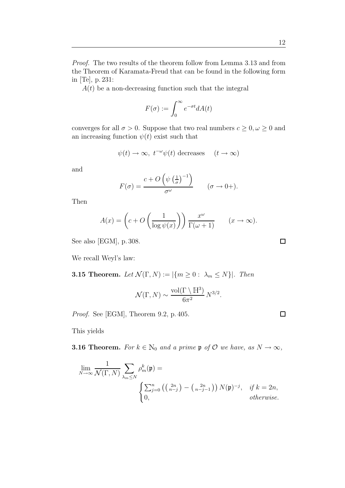Proof. The two results of the theorem follow from Lemma 3.13 and from the Theorem of Karamata-Freud that can be found in the following form in [Te], p. 231:

 $A(t)$  be a non-decreasing function such that the integral

$$
F(\sigma) := \int_0^\infty e^{-\sigma t} dA(t)
$$

converges for all  $\sigma > 0$ . Suppose that two real numbers  $c \geq 0, \omega \geq 0$  and an increasing function  $\psi(t)$  exist such that

$$
\psi(t) \to \infty
$$
,  $t^{-\omega}\psi(t)$  decreases  $(t \to \infty)$ 

and

$$
F(\sigma) = \frac{c + O\left(\psi\left(\frac{1}{\sigma}\right)^{-1}\right)}{\sigma^{\omega}} \qquad (\sigma \to 0+).
$$

Then

$$
A(x) = \left(c + O\left(\frac{1}{\log \psi(x)}\right)\right) \frac{x^{\omega}}{\Gamma(\omega + 1)} \qquad (x \to \infty).
$$

See also [EGM], p. 308.

We recall Weyl's law:

**3.15 Theorem.** Let  $\mathcal{N}(\Gamma, N) := |\{m \geq 0 : \lambda_m \leq N\}|$ . Then

$$
\mathcal{N}(\Gamma, N) \sim \frac{\text{vol}(\Gamma \setminus \mathbb{H}^3)}{6\pi^2} N^{3/2}.
$$

Proof. See [EGM], Theorem 9.2, p. 405.

This yields

**3.16 Theorem.** For  $k \in \mathbb{N}_0$  and a prime  $\mathfrak{p}$  of  $\mathcal{O}$  we have, as  $N \to \infty$ ,

$$
\lim_{N \to \infty} \frac{1}{\mathcal{N}(\Gamma, N)} \sum_{\lambda_m \le N} \rho_m^k(\mathfrak{p}) =
$$
\n
$$
\begin{cases}\n\sum_{j=0}^n \left( \binom{2n}{n-j} - \binom{2n}{n-j-1} \right) N(\mathfrak{p})^{-j}, & \text{if } k = 2n, \\
0, & \text{otherwise.} \n\end{cases}
$$

 $\Box$ 

 $\Box$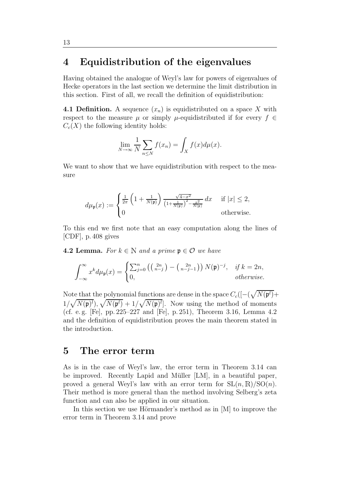## 4 Equidistribution of the eigenvalues

Having obtained the analogue of Weyl's law for powers of eigenvalues of Hecke operators in the last section we determine the limit distribution in this section. First of all, we recall the definition of equidistribution:

**4.1 Definition.** A sequence  $(x_n)$  is equidistributed on a space X with respect to the measure  $\mu$  or simply  $\mu$ -equidistributed if for every  $f \in$  $C_c(X)$  the following identity holds:

$$
\lim_{N \to \infty} \frac{1}{N} \sum_{n \leq N} f(x_n) = \int_X f(x) d\mu(x).
$$

We want to show that we have equidistribution with respect to the measure

$$
d\mu_{\mathfrak{p}}(x) := \begin{cases} \frac{1}{2\pi} \left( 1 + \frac{1}{N(\mathfrak{p})} \right) \frac{\sqrt{4 - x^2}}{\left( 1 + \frac{1}{N(\mathfrak{p})} \right)^2 - \frac{x^2}{N(\mathfrak{p})}} dx & \text{if } |x| \le 2, \\ 0 & \text{otherwise.} \end{cases}
$$

To this end we first note that an easy computation along the lines of [CDF], p. 408 gives

**4.2 Lemma.** For  $k \in \mathbb{N}$  and a prime  $\mathfrak{p} \in \mathcal{O}$  we have

$$
\int_{-\infty}^{\infty} x^k d\mu_{\mathfrak{p}}(x) = \begin{cases} \sum_{j=0}^n \left( \begin{pmatrix} 2n \\ n-j \end{pmatrix} - \begin{pmatrix} 2n \\ n-j-1 \end{pmatrix} \right) N(\mathfrak{p})^{-j}, & \text{if } k = 2n, \\ 0, & \text{otherwise.} \end{cases}
$$

Note that the polynomial functions are dense in the space  $C_c([-(\sqrt{N(\mathfrak{p}^l)})+$  $1/\sqrt{N(\mathfrak{p})^l}$ ,  $\sqrt{N(\mathfrak{p}^l)}+1/\sqrt{N(\mathfrak{p})^l}$ . Now using the method of moments (cf. e. g. [Fe], pp. 225–227 and [Fe], p. 251), Theorem 3.16, Lemma 4.2 and the definition of equidistribution proves the main theorem stated in the introduction.

#### 5 The error term

As is in the case of Weyl's law, the error term in Theorem 3.14 can be improved. Recently Lapid and Müller [LM], in a beautiful paper, proved a general Weyl's law with an error term for  $SL(n, \mathbb{R})/SO(n)$ . Their method is more general than the method involving Selberg's zeta function and can also be applied in our situation.

In this section we use Hörmander's method as in  $[M]$  to improve the error term in Theorem 3.14 and prove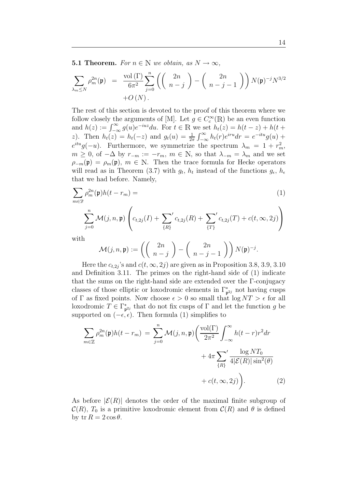**5.1 Theorem.** For  $n \in \mathbb{N}$  we obtain, as  $N \to \infty$ ,

$$
\sum_{\lambda_m \leq N} \rho_m^{2n}(\mathfrak{p}) = \frac{\text{vol}\left(\Gamma\right)}{6\pi^2} \sum_{j=0}^n \left( \left( \begin{array}{c} 2n \\ n-j \end{array} \right) - \left( \begin{array}{c} 2n \\ n-j-1 \end{array} \right) \right) N(\mathfrak{p})^{-j} N^{3/2} + O\left(N\right).
$$

The rest of this section is devoted to the proof of this theorem where we follow closely the arguments of [M]. Let  $g \in C_c^{\infty}(\mathbb{R})$  be an even function and  $h(z) := \int_{-\infty}^{\infty} g(u)e^{-iux}du$ . For  $t \in \mathbb{R}$  we set  $h_t(z) = h(t-z) + h(t+z)$ z). Then  $h_t(z) = h_t(-z)$  and  $g_t(u) = \frac{1}{2\pi} \int_{-\infty}^{\infty} h_t(r) e^{iru} dr = e^{-itu} g(u) + \frac{1}{2} \int_{-\infty}^{\infty} h_t(r) e^{itu} dr$  $e^{itu}g(-u)$ . Furthermore, we symmetrize the spectrum  $\lambda_m = 1 + r_m^2$ ,  $m \geq 0$ , of  $-\Delta$  by  $r_{-m} := -r_m$ ,  $m \in \mathbb{N}$ , so that  $\lambda_{-m} = \lambda_m$  and we set  $\rho_{-m}(\mathfrak{p}) = \rho_m(\mathfrak{p}), m \in \mathbb{N}$ . Then the trace formula for Hecke operators will read as in Theorem (3.7) with  $g_t$ ,  $h_t$  instead of the functions  $g_\epsilon$ ,  $h_\epsilon$ that we had before. Namely,

$$
\sum_{m\in\mathbb{Z}} \rho_m^{2n}(\mathfrak{p})h(t-r_m) =
$$
\n
$$
\sum_{j=0}^n \mathcal{M}(j,n,\mathfrak{p})\left(c_{t,2j}(I) + \sum_{\{R\}}' c_{t,2j}(R) + \sum_{\{T\}}' c_{t,2j}(T) + c(t,\infty,2j)\right)
$$
\n
$$
\sum_{j=0}^n \mathcal{M}(j,n,\mathfrak{p})\left(c_{t,2j}(I) + \sum_{\{R\}}' c_{t,2j}(R) + \sum_{\{T\}}' c_{t,2j}(T) + c(t,\infty,2j)\right)
$$

with

$$
\mathcal{M}(j,n,\mathfrak{p}) := \left( \left( \begin{array}{c} 2n \\ n-j \end{array} \right) - \left( \begin{array}{c} 2n \\ n-j-1 \end{array} \right) \right) N(\mathfrak{p})^{-j}.
$$

Here the  $c_{t,2i}$ 's and  $c(t,\infty,2j)$  are given as in Proposition 3.8, 3.9, 3.10 and Definition 3.11. The primes on the right-hand side of (1) indicate that the sums on the right-hand side are extended over the Γ-conjugacy classes of those elliptic or loxodromic elements in  $\Gamma_{\mathfrak{p}^{2j}}^*$  not having cusps of  $\Gamma$  as fixed points. Now choose  $\epsilon > 0$  so small that  $\log NT > \epsilon$  for all loxodromic  $T \in \Gamma_{\mathfrak{p}^{2j}}^*$  that do not fix cusps of  $\Gamma$  and let the function g be supported on  $(-\epsilon, \epsilon)$ . Then formula (1) simplifies to

$$
\sum_{m\in\mathbb{Z}} \rho_m^{2n}(\mathfrak{p})h(t-r_m) = \sum_{j=0}^n \mathcal{M}(j,n,\mathfrak{p}) \left(\frac{\text{vol}(\Gamma)}{2\pi^2} \int_{-\infty}^{\infty} h(t-r)r^2 dr + 4\pi \sum_{\{R\}}' \frac{\log NT_0}{4|\mathcal{E}(R)|\sin^2(\theta)} + c(t,\infty,2j)\right).
$$
 (2)

As before  $|\mathcal{E}(R)|$  denotes the order of the maximal finite subgroup of  $\mathcal{C}(R)$ ,  $T_0$  is a primitive loxodromic element from  $\mathcal{C}(R)$  and  $\theta$  is defined by tr  $R = 2 \cos \theta$ .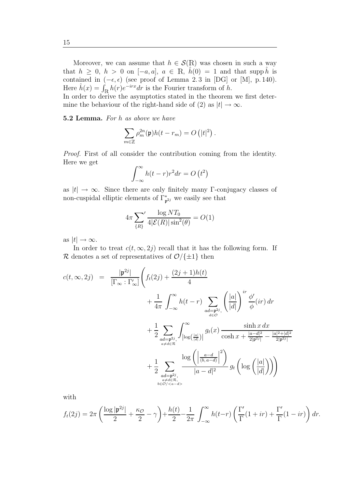Moreover, we can assume that  $h \in \mathcal{S}(\mathbb{R})$  was chosen in such a way that  $h \geq 0$ ,  $h > 0$  on  $[-a, a]$ ,  $a \in \mathbb{R}$ ,  $\hat{h}(0) = 1$  and that supp  $\hat{h}$  is contained in  $(-\epsilon, \epsilon)$  (see proof of Lemma 2.3 in [DG] or [M], p. 140). Here  $\hat{h}(x) = \int_{\mathbb{R}} h(r)e^{-irx}dr$  is the Fourier transform of h.

In order to derive the asymptotics stated in the theorem we first determine the behaviour of the right-hand side of (2) as  $|t| \to \infty$ .

5.2 Lemma. For h as above we have

$$
\sum_{m\in\mathbb{Z}}\rho_m^{2n}(\mathfrak{p})h(t-r_m)=O\left(|t|^2\right).
$$

Proof. First of all consider the contribution coming from the identity. Here we get

$$
\int_{-\infty}^{\infty} h(t-r)r^2 dr = O(t^2)
$$

as  $|t| \to \infty$ . Since there are only finitely many Γ-conjugacy classes of non-cuspidal elliptic elements of  $\Gamma_{\mathfrak{p}^{2j}}^*$  we easily see that

$$
4\pi \sum_{\{R\}}' \frac{\log NT_0}{4|\mathcal{E}(R)|\sin^2(\theta)} = O(1)
$$

as  $|t| \to \infty$ .

In order to treat  $c(t, \infty, 2j)$  recall that it has the following form. If R denotes a set of representatives of  $\mathcal{O}/\{\pm 1\}$  then

$$
c(t, \infty, 2j) = \frac{|\mathfrak{p}^{2j}|}{|\Gamma_{\infty} : \Gamma_{\infty}^{\prime}|} \left( f_t(2j) + \frac{(2j+1)h(t)}{4} + \frac{1}{4\pi} \int_{-\infty}^{\infty} h(t-r) \sum_{\substack{ad=p^{2j}, \\ d \in \mathcal{O}}} \left( \frac{|a|}{|d|} \right)^{i r} \frac{\phi^{\prime}}{\phi}(ir) dr + \frac{1}{2} \sum_{\substack{ad=p^{2j}, \\ a \neq d \in \mathcal{R}}} \int_{|\log(\frac{|a|}{|d|})}^{\infty} g_t(x) \frac{\sinh x \, dx}{\cosh x + \frac{|a-d|^2}{2|p^{2j}|} - \frac{|a|^2 + |d|^2}{2|p^{2j}|}} \right) + \frac{1}{2} \sum_{\substack{ad=p^{2j}, \\ b \in \mathcal{O}/\langle a-d \rangle}} \frac{\log \left( \left| \frac{a-d}{(b, a-d)} \right|^2 \right)}{|a-d|^2} g_t \left( \log \left( \frac{|a|}{|d|} \right) \right)
$$

with

$$
f_t(2j) = 2\pi \left( \frac{\log |\mathfrak{p}^{2j}|}{2} + \frac{\kappa_{\mathcal{O}}}{2} - \gamma \right) + \frac{h(t)}{2} - \frac{1}{2\pi} \int_{-\infty}^{\infty} h(t-r) \left( \frac{\Gamma'}{\Gamma}(1+ir) + \frac{\Gamma'}{\Gamma}(1-ir) \right) dr.
$$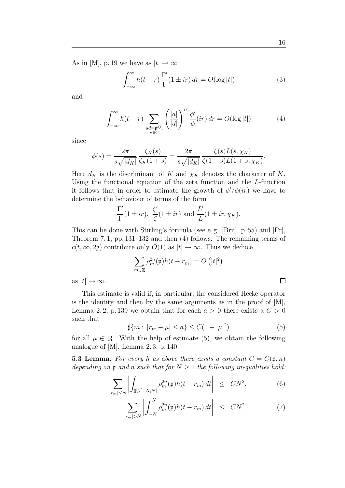As in [M], p. 19 we have as  $|t| \to \infty$ 

$$
\int_{-\infty}^{\infty} h(t - r) \frac{\Gamma'}{\Gamma} (1 \pm ir) dr = O(\log|t|)
$$
 (3)

and

$$
\int_{-\infty}^{\infty} h(t-r) \sum_{\substack{ad = \mathfrak{p}^{2j}, \\ d \in \mathcal{O}}} \left( \frac{|a|}{|d|} \right)^{ir} \frac{\phi'}{\phi}(ir) dr = O(\log|t|)
$$
 (4)

since

$$
\phi(s) = \frac{2\pi}{s\sqrt{|d_K|}} \frac{\zeta_K(s)}{\zeta_K(1+s)} = \frac{2\pi}{s\sqrt{|d_K|}} \frac{\zeta(s)L(s,\chi_K)}{\zeta(1+s)L(1+s,\chi_K)}.
$$

Here  $d_K$  is the discriminant of K and  $\chi_K$  denotes the character of K. Using the functional equation of the zeta function and the L-function it follows that in order to estimate the growth of  $\phi'/\phi(ir)$  we have to determine the behaviour of terms of the form

$$
\frac{\Gamma'}{\Gamma}(1 \pm ir), \ \frac{\zeta'}{\zeta}(1 \pm ir) \text{ and } \frac{L'}{L}(1 \pm ir, \chi_K).
$$

This can be done with Stirling's formula (see e.g.  $|B\ddot{\mu}|$ , p. 55) and  $|Pr|$ , Theorem 7. 1, pp. 131–132 and then (4) follows. The remaining terms of  $c(t, \infty, 2j)$  contribute only  $O(1)$  as  $|t| \to \infty$ . Thus we deduce

$$
\sum_{m\in\mathbb{Z}}\rho_m^{2n}(\mathfrak{p})h(t-r_m)=O\left(|t|^2\right)
$$

as  $|t| \to \infty$ .

This estimate is valid if, in particular, the considered Hecke operator is the identity and then by the same arguments as in the proof of  $[M]$ , Lemma 2.2, p. 139 we obtain that for each  $a > 0$  there exists a  $C > 0$ such that

$$
\sharp\{m: |r_m - \mu| \le a\} \le C(1 + |\mu|^2)
$$
 (5)

for all  $\mu \in \mathbb{R}$ . With the help of estimate (5), we obtain the following analogue of [M], Lemma 2. 3, p. 140.

**5.3 Lemma.** For every h as above there exists a constant  $C = C(\mathfrak{p}, n)$ depending on  $\mathfrak p$  and n such that for  $N \geq 1$  the following inequalities hold:

$$
\sum_{|r_m| \le N} \left| \int_{\mathbb{R} \setminus [-N,N]} \rho_m^{2n}(\mathfrak{p}) h(t-r_m) dt \right| \le CN^2,
$$
 (6)

$$
\sum_{|r_m|>N} \left| \int_{-N}^N \rho_m^{2n}(\mathfrak{p}) h(t-r_m) dt \right| \leq CN^2.
$$
 (7)

 $\Box$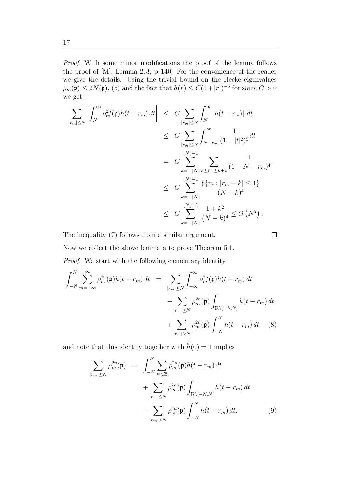Proof. With some minor modifications the proof of the lemma follows the proof of [M], Lemma 2. 3, p. 140. For the convenience of the reader we give the details. Using the trivial bound on the Hecke eigenvalues  $\rho_m(\mathfrak{p}) \leq 2N(\mathfrak{p})$ , (5) and the fact that  $h(r) \leq C(1+|r|)^{-5}$  for some  $C > 0$ we get

$$
\sum_{|r_m| \le N} \left| \int_N^{\infty} \rho_m^{2n}(\mathfrak{p}) h(t - r_m) dt \right| \le C \sum_{|r_m| \le N} \int_N^{\infty} |h(t - r_m)| dt
$$
  
\n
$$
\le C \sum_{|r_m| \le N} \int_{N - r_m}^{\infty} \frac{1}{(1 + |t|^2)^5} dt
$$
  
\n
$$
= C \sum_{k=-\lfloor N \rfloor}^{\lfloor N \rfloor - 1} \sum_{k \le r_m \le k+1} \frac{1}{(1 + N - r_m)^4}
$$
  
\n
$$
\le C \sum_{k=-\lfloor N \rfloor}^{\lfloor N \rfloor - 1} \frac{\sharp \{ m : |r_m - k| \le 1 \}}{(N - k)^4}
$$
  
\n
$$
\le C \sum_{k=-\lfloor N \rfloor}^{\lfloor N \rfloor - 1} \frac{1 + k^2}{(N - k)^4} \le O(N^2).
$$

The inequality (7) follows from a similar argument. Now we collect the above lemmata to prove Theorem 5.1.  $\Box$ 

Proof. We start with the following elementary identity

$$
\int_{-N}^{N} \sum_{m=-\infty}^{\infty} \rho_m^{2n}(\mathfrak{p}) h(t-r_m) dt = \sum_{\substack{|r_m| \le N}} \int_{-\infty}^{\infty} \rho_m^{2n}(\mathfrak{p}) h(t-r_m) dt \n- \sum_{\substack{|r_m| \le N}} \rho_m^{2n}(\mathfrak{p}) \int_{\mathbb{R} \setminus [-N,N]} h(t-r_m) dt \n+ \sum_{\substack{|r_m| > N}} \rho_m^{2n}(\mathfrak{p}) \int_{-N}^{N} h(t-r_m) dt \quad (8)
$$

and note that this identity together with  $\hat{h}(0) = 1$  implies

$$
\sum_{|r_m| \le N} \rho_m^{2n}(\mathfrak{p}) = \int_{-N}^N \sum_{m \in \mathbb{Z}} \rho_m^{2n}(\mathfrak{p}) h(t - r_m) dt \n+ \sum_{|r_m| \le N} \rho_m^{2n}(\mathfrak{p}) \int_{\mathbb{R}\setminus[-N,N]} h(t - r_m) dt \n- \sum_{|r_m| > N} \rho_m^{2n}(\mathfrak{p}) \int_{-N}^N h(t - r_m) dt.
$$
\n(9)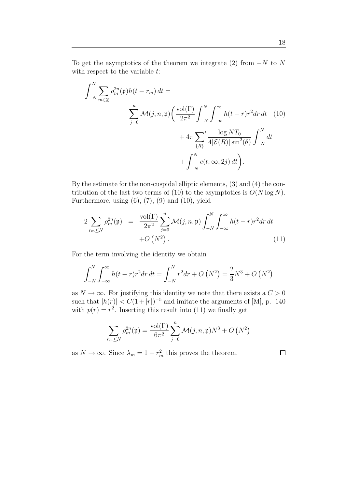To get the asymptotics of the theorem we integrate (2) from  $-N$  to N with respect to the variable  $t$ :

$$
\int_{-N}^{N} \sum_{m \in \mathbb{Z}} \rho_m^{2n}(\mathfrak{p}) h(t - r_m) dt =
$$
\n
$$
\sum_{j=0}^{n} \mathcal{M}(j, n, \mathfrak{p}) \bigg( \frac{\text{vol}(\Gamma)}{2\pi^2} \int_{-N}^{N} \int_{-\infty}^{\infty} h(t - r) r^2 dr dt \quad (10)
$$
\n
$$
+ 4\pi \sum_{\{R\}}' \frac{\log NT_0}{4|\mathcal{E}(R)| \sin^2(\theta)} \int_{-N}^{N} dt
$$
\n
$$
+ \int_{-N}^{N} c(t, \infty, 2j) dt \bigg).
$$

By the estimate for the non-cuspidal elliptic elements, (3) and (4) the contribution of the last two terms of (10) to the asymptotics is  $O(N \log N)$ . Furthermore, using  $(6)$ ,  $(7)$ ,  $(9)$  and  $(10)$ , yield

$$
2\sum_{r_m \leq N} \rho_m^{2n}(\mathfrak{p}) = \frac{\text{vol}(\Gamma)}{2\pi^2} \sum_{j=0}^n \mathcal{M}(j, n, \mathfrak{p}) \int_{-N}^N \int_{-\infty}^\infty h(t-r)r^2 dr dt
$$
  
+ O(N<sup>2</sup>). (11)

For the term involving the identity we obtain

$$
\int_{-N}^{N} \int_{-\infty}^{\infty} h(t-r)r^{2} dr dt = \int_{-N}^{N} r^{2} dr + O(N^{2}) = \frac{2}{3}N^{3} + O(N^{2})
$$

as  $N \to \infty$ . For justifying this identity we note that there exists a  $C > 0$ such that  $|h(r)| < C(1+|r|)^{-5}$  and imitate the arguments of [M], p. 140 with  $p(r) = r^2$ . Inserting this result into (11) we finally get

$$
\sum_{r_m \leq N} \rho_m^{2n}(\mathfrak{p}) = \frac{\text{vol}(\Gamma)}{6\pi^2} \sum_{j=0}^n \mathcal{M}(j,n,\mathfrak{p}) N^3 + O\left(N^2\right)
$$

as  $N \to \infty$ . Since  $\lambda_m = 1 + r_m^2$  this proves the theorem.

 $\Box$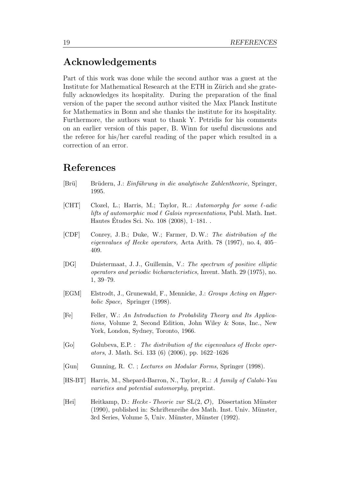### Acknowledgements

Part of this work was done while the second author was a guest at the Institute for Mathematical Research at the ETH in Zürich and she gratefully acknowledges its hospitality. During the preparation of the final version of the paper the second author visited the Max Planck Institute for Mathematics in Bonn and she thanks the institute for its hospitality. Furthermore, the authors want to thank Y. Petridis for his comments on an earlier version of this paper, B. Winn for useful discussions and the referee for his/her careful reading of the paper which resulted in a correction of an error.

#### References

- [Brü] Brüdern, J.: *Einführung in die analytische Zahlentheorie*, Springer, 1995.
- [CHT] Clozel, L.; Harris, M.; Taylor, R..: Automorphy for some  $\ell$ -adic lifts of automorphic mod  $\ell$  Galois representations, Publ. Math. Inst. Hautes Etudes Sci. No. 108 (2008), 1–181. . ´
- [CDF] Conrey, J. B.; Duke, W.; Farmer, D. W.: The distribution of the eigenvalues of Hecke operators, Acta Arith. 78 (1997), no. 4, 405– 409.
- [DG] Duistermaat, J. J., Guillemin, V.: The spectrum of positive elliptic operators and periodic bicharacteristics, Invent. Math. 29 (1975), no. 1, 39–79.
- [EGM] Elstrodt, J., Grunewald, F., Mennicke, J.: Groups Acting on Hyperbolic Space, Springer (1998).
- [Fe] Feller, W.: An Introduction to Probability Theory and Its Applications, Volume 2, Second Edition, John Wiley & Sons, Inc., New York, London, Sydney, Toronto, 1966.
- [Go] Golubeva, E.P. : The distribution of the eigenvalues of Hecke operators, J. Math. Sci. 133 (6) (2006), pp. 1622–1626
- [Gun] Gunning, R. C. ; Lectures on Modular Forms, Springer (1998).
- [HS-BT] Harris, M., Shepard-Barron, N., Taylor, R..: A family of Calabi-Yau varieties and potential automorphy, preprint.
- [Hei] Heitkamp, D.: Hecke Theorie zur  $SL(2, \mathcal{O})$ , Dissertation Münster  $(1990)$ , published in: Schriftenreihe des Math. Inst. Univ. Münster, 3rd Series, Volume 5, Univ. Münster, Münster (1992).